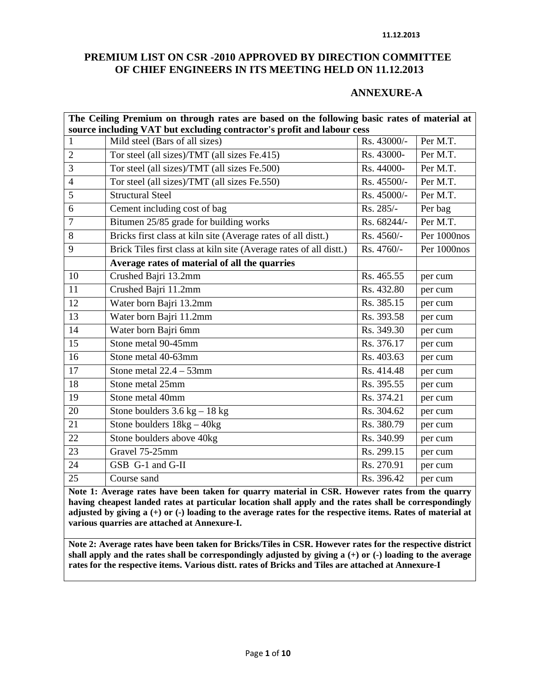#### **11.12.2013**

#### **PREMIUM LIST ON CSR -2010 APPROVED BY DIRECTION COMMITTEE OF CHIEF ENGINEERS IN ITS MEETING HELD ON 11.12.2013**

#### **ANNEXURE-A**

|                 | The Ceiling Premium on through rates are based on the following basic rates of material at |                                 |             |  |  |  |  |
|-----------------|--------------------------------------------------------------------------------------------|---------------------------------|-------------|--|--|--|--|
|                 | source including VAT but excluding contractor's profit and labour cess                     |                                 |             |  |  |  |  |
| $\mathbf{1}$    | Mild steel (Bars of all sizes)                                                             | Rs. 43000/-                     | Per M.T.    |  |  |  |  |
| $\overline{2}$  | Tor steel (all sizes)/TMT (all sizes Fe.415)                                               | $\overline{\text{Rs}}$ . 43000- | Per M.T.    |  |  |  |  |
| 3               | Tor steel (all sizes)/TMT (all sizes Fe.500)                                               | Rs. 44000-                      | Per M.T.    |  |  |  |  |
| $\overline{4}$  | Tor steel (all sizes)/TMT (all sizes Fe.550)                                               | Rs. 45500/-                     | Per M.T.    |  |  |  |  |
| 5               | <b>Structural Steel</b>                                                                    | Rs. 45000/-                     | Per M.T.    |  |  |  |  |
| 6               | Cement including cost of bag                                                               | Rs. 285/-                       | Per bag     |  |  |  |  |
| $\overline{7}$  | Bitumen 25/85 grade for building works                                                     | Rs. 68244/-                     | Per M.T.    |  |  |  |  |
| 8               | Bricks first class at kiln site (Average rates of all distt.)                              | Rs. 4560/-                      | Per 1000nos |  |  |  |  |
| 9               | Brick Tiles first class at kiln site (Average rates of all distt.)                         | Rs. 4760/-                      | Per 1000nos |  |  |  |  |
|                 | Average rates of material of all the quarries                                              |                                 |             |  |  |  |  |
| 10              | Crushed Bajri 13.2mm                                                                       | Rs. 465.55                      | per cum     |  |  |  |  |
| 11              | Crushed Bajri 11.2mm                                                                       | Rs. 432.80                      | per cum     |  |  |  |  |
| 12              | Water born Bajri 13.2mm                                                                    | Rs. 385.15                      | per cum     |  |  |  |  |
| 13              | Water born Bajri 11.2mm                                                                    | Rs. 393.58                      | per cum     |  |  |  |  |
| 14              | Water born Bajri 6mm                                                                       | Rs. 349.30                      | per cum     |  |  |  |  |
| 15              | Stone metal 90-45mm                                                                        | Rs. 376.17                      | per cum     |  |  |  |  |
| 16              | Stone metal 40-63mm                                                                        | Rs. 403.63                      | per cum     |  |  |  |  |
| 17              | Stone metal $22.4 - 53$ mm                                                                 | Rs. 414.48                      | per cum     |  |  |  |  |
| $\overline{18}$ | Stone metal 25mm                                                                           | Rs. 395.55                      | per cum     |  |  |  |  |
| 19              | Stone metal 40mm                                                                           | Rs. 374.21                      | per cum     |  |  |  |  |
| 20              | Stone boulders $3.6$ kg $-18$ kg                                                           | Rs. 304.62                      | per cum     |  |  |  |  |
| 21              | Stone boulders 18kg - 40kg                                                                 | Rs. 380.79                      | per cum     |  |  |  |  |
| 22              | Stone boulders above 40kg                                                                  | Rs. 340.99                      | per cum     |  |  |  |  |
| 23              | Gravel 75-25mm                                                                             | Rs. 299.15                      | per cum     |  |  |  |  |
| 24              | GSB G-1 and G-II                                                                           | Rs. 270.91                      | per cum     |  |  |  |  |
| 25              | Course sand                                                                                | Rs. 396.42                      | per cum     |  |  |  |  |

**Note 1: Average rates have been taken for quarry material in CSR. However rates from the quarry having cheapest landed rates at particular location shall apply and the rates shall be correspondingly adjusted by giving a (+) or (-) loading to the average rates for the respective items. Rates of material at various quarries are attached at Annexure-I.** 

**Note 2: Average rates have been taken for Bricks/Tiles in CSR. However rates for the respective district shall apply and the rates shall be correspondingly adjusted by giving a (+) or (-) loading to the average rates for the respective items. Various distt. rates of Bricks and Tiles are attached at Annexure-I**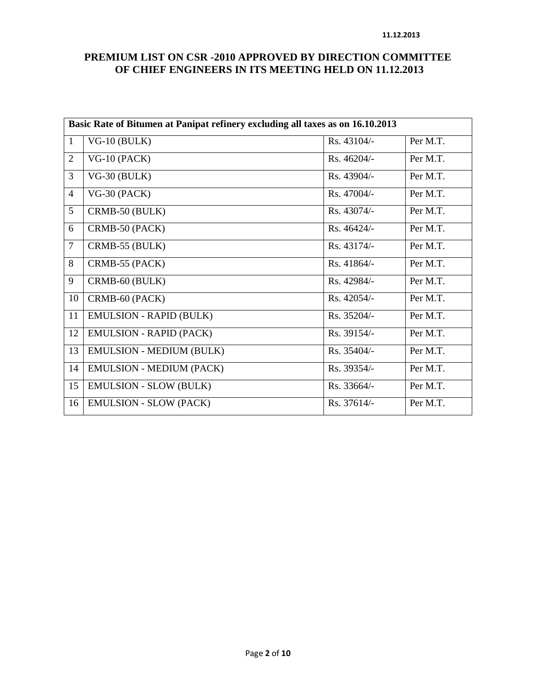|                | Basic Rate of Bitumen at Panipat refinery excluding all taxes as on 16.10.2013 |             |          |  |  |  |
|----------------|--------------------------------------------------------------------------------|-------------|----------|--|--|--|
| $\mathbf{1}$   | $VG-10$ (BULK)                                                                 | Rs. 43104/- | Per M.T. |  |  |  |
| $\overline{2}$ | $VG-10$ (PACK)                                                                 | Rs. 46204/- | Per M.T. |  |  |  |
| $\overline{3}$ | $VG-30$ (BULK)                                                                 | Rs. 43904/- | Per M.T. |  |  |  |
| $\overline{4}$ | $VG-30$ (PACK)                                                                 | Rs. 47004/- | Per M.T. |  |  |  |
| 5              | CRMB-50 (BULK)                                                                 | Rs. 43074/- | Per M.T. |  |  |  |
| 6              | CRMB-50 (PACK)                                                                 | Rs. 46424/- | Per M.T. |  |  |  |
| $\overline{7}$ | CRMB-55 (BULK)                                                                 | Rs. 43174/- | Per M.T. |  |  |  |
| 8              | CRMB-55 (PACK)                                                                 | Rs. 41864/- | Per M.T. |  |  |  |
| 9              | CRMB-60 (BULK)                                                                 | Rs. 42984/- | Per M.T. |  |  |  |
| 10             | CRMB-60 (PACK)                                                                 | Rs. 42054/- | Per M.T. |  |  |  |
| 11             | EMULSION - RAPID (BULK)                                                        | Rs. 35204/- | Per M.T. |  |  |  |
| 12             | <b>EMULSION - RAPID (PACK)</b>                                                 | Rs. 39154/- | Per M.T. |  |  |  |
| 13             | <b>EMULSION - MEDIUM (BULK)</b>                                                | Rs. 35404/- | Per M.T. |  |  |  |
| 14             | <b>EMULSION - MEDIUM (PACK)</b>                                                | Rs. 39354/- | Per M.T. |  |  |  |
| 15             | <b>EMULSION - SLOW (BULK)</b>                                                  | Rs. 33664/- | Per M.T. |  |  |  |
| 16             | <b>EMULSION - SLOW (PACK)</b>                                                  | Rs. 37614/- | Per M.T. |  |  |  |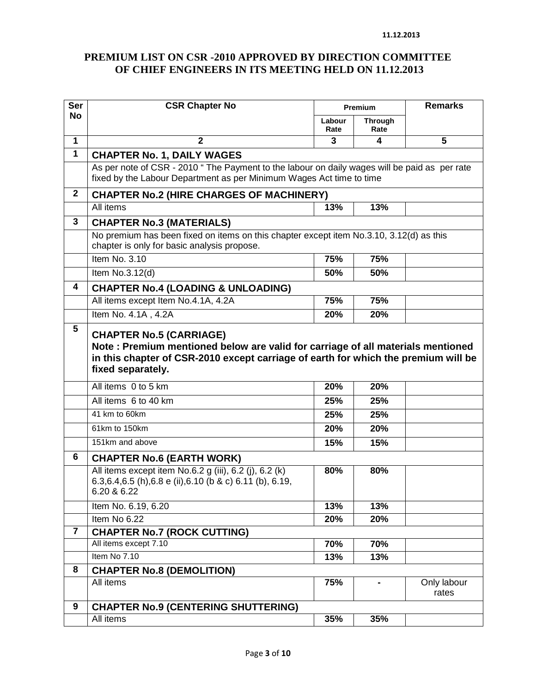| <b>Ser</b>              | <b>CSR Chapter No</b>                                                                                                                                                    | Premium        |                              | <b>Remarks</b>       |
|-------------------------|--------------------------------------------------------------------------------------------------------------------------------------------------------------------------|----------------|------------------------------|----------------------|
| <b>No</b>               |                                                                                                                                                                          | Labour<br>Rate | <b>Through</b><br>Rate       |                      |
| 1                       | $\overline{2}$                                                                                                                                                           | 3              | 4                            | 5                    |
| 1                       | <b>CHAPTER No. 1, DAILY WAGES</b>                                                                                                                                        |                |                              |                      |
|                         | As per note of CSR - 2010 " The Payment to the labour on daily wages will be paid as per rate<br>fixed by the Labour Department as per Minimum Wages Act time to time    |                |                              |                      |
| $\mathbf{2}$            | <b>CHAPTER No.2 (HIRE CHARGES OF MACHINERY)</b>                                                                                                                          |                |                              |                      |
|                         | All items                                                                                                                                                                | 13%            | 13%                          |                      |
| 3                       | <b>CHAPTER No.3 (MATERIALS)</b>                                                                                                                                          |                |                              |                      |
|                         | No premium has been fixed on items on this chapter except item No.3.10, 3.12(d) as this<br>chapter is only for basic analysis propose.                                   |                |                              |                      |
|                         | Item No. 3.10                                                                                                                                                            | 75%            | 75%                          |                      |
|                         | Item No.3.12(d)                                                                                                                                                          | 50%            | 50%                          |                      |
| 4                       | <b>CHAPTER No.4 (LOADING &amp; UNLOADING)</b>                                                                                                                            |                |                              |                      |
|                         | All items except Item No.4.1A, 4.2A                                                                                                                                      | 75%            | 75%                          |                      |
|                         | Item No. 4.1A, 4.2A                                                                                                                                                      | 20%            | 20%                          |                      |
|                         | fixed separately.<br>All items 0 to 5 km                                                                                                                                 | 20%            | 20%                          |                      |
|                         | All items 6 to 40 km                                                                                                                                                     | 25%            | 25%                          |                      |
|                         | 41 km to 60km                                                                                                                                                            | 25%            | 25%                          |                      |
|                         | 61km to 150km                                                                                                                                                            | 20%            | 20%                          |                      |
|                         | 151km and above                                                                                                                                                          | 15%            | 15%                          |                      |
| 6                       |                                                                                                                                                                          |                |                              |                      |
|                         | <b>CHAPTER No.6 (EARTH WORK)</b><br>All items except item No.6.2 g (iii), 6.2 (j), 6.2 (k)<br>6.3, 6.4, 6.5 (h), 6.8 e (ii), 6.10 (b & c) 6.11 (b), 6.19,<br>6.20 & 6.22 | 80%            | 80%                          |                      |
|                         | Item No. 6.19, 6.20                                                                                                                                                      | 13%            | 13%                          |                      |
|                         | Item No 6.22                                                                                                                                                             | 20%            | 20%                          |                      |
| $\overline{\mathbf{7}}$ | <b>CHAPTER No.7 (ROCK CUTTING)</b><br>All items except 7.10                                                                                                              |                |                              |                      |
|                         | Item No 7.10                                                                                                                                                             | 70%<br>13%     | 70%<br>13%                   |                      |
| 8                       | <b>CHAPTER No.8 (DEMOLITION)</b>                                                                                                                                         |                |                              |                      |
|                         | All items                                                                                                                                                                | 75%            | $\qquad \qquad \blacksquare$ | Only labour<br>rates |
| 9                       | <b>CHAPTER No.9 (CENTERING SHUTTERING)</b>                                                                                                                               |                |                              |                      |
|                         | All items                                                                                                                                                                | 35%            | 35%                          |                      |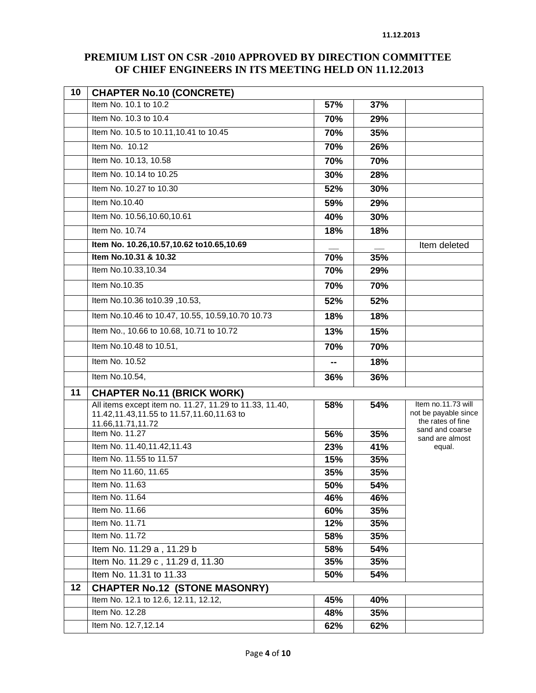| 10 | <b>CHAPTER No.10 (CONCRETE)</b>                                                                                             |     |     |                                                                 |
|----|-----------------------------------------------------------------------------------------------------------------------------|-----|-----|-----------------------------------------------------------------|
|    | Item No. 10.1 to 10.2                                                                                                       | 57% | 37% |                                                                 |
|    | Item No. 10.3 to 10.4                                                                                                       | 70% | 29% |                                                                 |
|    | Item No. 10.5 to 10.11, 10.41 to 10.45                                                                                      | 70% | 35% |                                                                 |
|    | Item No. 10.12                                                                                                              | 70% | 26% |                                                                 |
|    | Item No. 10.13, 10.58                                                                                                       | 70% | 70% |                                                                 |
|    | Item No. 10.14 to 10.25                                                                                                     | 30% | 28% |                                                                 |
|    | Item No. 10.27 to 10.30                                                                                                     | 52% | 30% |                                                                 |
|    | Item No.10.40                                                                                                               | 59% | 29% |                                                                 |
|    | Item No. 10.56,10.60,10.61                                                                                                  | 40% | 30% |                                                                 |
|    | Item No. 10.74                                                                                                              | 18% | 18% |                                                                 |
|    | Item No. 10.26,10.57,10.62 to10.65,10.69                                                                                    |     |     | Item deleted                                                    |
|    | Item No.10.31 & 10.32                                                                                                       | 70% | 35% |                                                                 |
|    | Item No.10.33,10.34                                                                                                         | 70% | 29% |                                                                 |
|    | Item No.10.35                                                                                                               | 70% | 70% |                                                                 |
|    | ltem No.10.36 to10.39, 10.53,                                                                                               | 52% | 52% |                                                                 |
|    | Item No.10.46 to 10.47, 10.55, 10.59, 10.70 10.73                                                                           | 18% | 18% |                                                                 |
|    | Item No., 10.66 to 10.68, 10.71 to 10.72                                                                                    | 13% | 15% |                                                                 |
|    | Item No.10.48 to 10.51,                                                                                                     | 70% | 70% |                                                                 |
|    | Item No. 10.52                                                                                                              |     | 18% |                                                                 |
|    | Item No.10.54,                                                                                                              | 36% | 36% |                                                                 |
| 11 | <b>CHAPTER No.11 (BRICK WORK)</b>                                                                                           |     |     |                                                                 |
|    | All items except item no. 11.27, 11.29 to 11.33, 11.40,<br>11.42,11.43,11.55 to 11.57,11.60,11.63 to<br>11.66, 11.71, 11.72 | 58% | 54% | Item no.11.73 will<br>not be payable since<br>the rates of fine |
|    | Item No. 11.27                                                                                                              | 56% | 35% | sand and coarse<br>sand are almost                              |
|    | Item No. 11.40,11.42,11.43                                                                                                  | 23% | 41% | equal.                                                          |
|    | Item No. 11.55 to 11.57                                                                                                     | 15% | 35% |                                                                 |
|    | Item No 11.60, 11.65                                                                                                        | 35% | 35% |                                                                 |
|    | Item No. 11.63                                                                                                              | 50% | 54% |                                                                 |
|    | Item No. 11.64                                                                                                              | 46% | 46% |                                                                 |
|    | Item No. 11.66                                                                                                              | 60% | 35% |                                                                 |
|    | Item No. 11.71                                                                                                              | 12% | 35% |                                                                 |
|    | Item No. 11.72                                                                                                              | 58% | 35% |                                                                 |
|    | Item No. 11.29 a, 11.29 b                                                                                                   | 58% | 54% |                                                                 |
|    | Item No. 11.29 c, 11.29 d, 11.30                                                                                            | 35% | 35% |                                                                 |
|    | Item No. 11.31 to 11.33                                                                                                     | 50% | 54% |                                                                 |
| 12 | <b>CHAPTER No.12 (STONE MASONRY)</b>                                                                                        |     |     |                                                                 |
|    | Item No. 12.1 to 12.6, 12.11, 12.12,                                                                                        | 45% | 40% |                                                                 |
|    | Item No. 12.28                                                                                                              | 48% | 35% |                                                                 |
|    | Item No. 12.7,12.14                                                                                                         | 62% | 62% |                                                                 |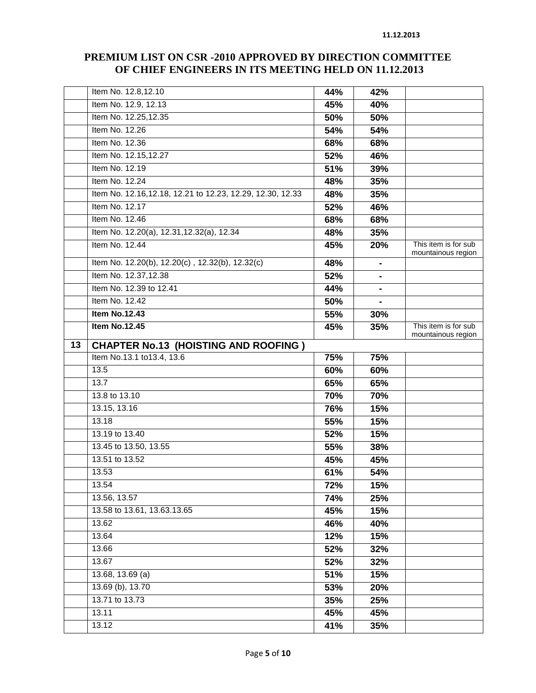|    | Item No. 12.8,12.10                                       | 44% | 42%            |                                            |
|----|-----------------------------------------------------------|-----|----------------|--------------------------------------------|
|    | Item No. 12.9, 12.13                                      | 45% | 40%            |                                            |
|    | Item No. 12.25,12.35                                      | 50% | 50%            |                                            |
|    | Item No. 12.26                                            | 54% | 54%            |                                            |
|    | Item No. 12.36                                            | 68% | 68%            |                                            |
|    | Item No. 12.15,12.27                                      | 52% | 46%            |                                            |
|    | Item No. 12.19                                            | 51% | 39%            |                                            |
|    | Item No. 12.24                                            | 48% | 35%            |                                            |
|    | Item No. 12.16,12.18, 12.21 to 12.23, 12.29, 12.30, 12.33 | 48% | 35%            |                                            |
|    | Item No. 12.17                                            | 52% | 46%            |                                            |
|    | Item No. 12.46                                            | 68% | 68%            |                                            |
|    | Item No. 12.20(a), 12.31, 12.32(a), 12.34                 | 48% | 35%            |                                            |
|    | Item No. 12.44                                            | 45% | 20%            | This item is for sub<br>mountainous region |
|    | Item No. 12.20(b), 12.20(c), 12.32(b), 12.32(c)           | 48% | $\blacksquare$ |                                            |
|    | Item No. 12.37,12.38                                      | 52% | $\blacksquare$ |                                            |
|    | Item No. 12.39 to 12.41                                   | 44% |                |                                            |
|    | Item No. 12.42                                            | 50% |                |                                            |
|    | <b>Item No.12.43</b>                                      | 55% | 30%            |                                            |
|    | <b>Item No.12.45</b>                                      | 45% | 35%            | This item is for sub<br>mountainous region |
| 13 | <b>CHAPTER No.13 (HOISTING AND ROOFING)</b>               |     |                |                                            |
|    | Item No.13.1 to13.4, 13.6                                 | 75% | 75%            |                                            |
|    |                                                           |     |                |                                            |
|    | 13.5                                                      | 60% | 60%            |                                            |
|    | 13.7                                                      | 65% | 65%            |                                            |
|    | 13.8 to 13.10                                             | 70% | 70%            |                                            |
|    | 13.15, 13.16                                              | 76% | 15%            |                                            |
|    | 13.18                                                     | 55% | 15%            |                                            |
|    | 13.19 to 13.40                                            | 52% | 15%            |                                            |
|    | 13.45 to 13.50, 13.55                                     | 55% | 38%            |                                            |
|    | 13.51 to 13.52                                            | 45% | 45%            |                                            |
|    | 13.53                                                     | 61% | 54%            |                                            |
|    | 13.54                                                     | 72% | 15%            |                                            |
|    | 13.56, 13.57                                              | 74% | 25%            |                                            |
|    | 13.58 to 13.61, 13.63.13.65                               | 45% | 15%            |                                            |
|    | 13.62                                                     | 46% | 40%            |                                            |
|    | 13.64                                                     | 12% | 15%            |                                            |
|    | 13.66                                                     | 52% | 32%            |                                            |
|    | 13.67                                                     | 52% | 32%            |                                            |
|    | 13.68, 13.69 (a)                                          | 51% | 15%            |                                            |
|    | 13.69 (b), 13.70                                          | 53% | 20%            |                                            |
|    | 13.71 to 13.73                                            | 35% | 25%            |                                            |
|    | 13.11                                                     | 45% | 45%            |                                            |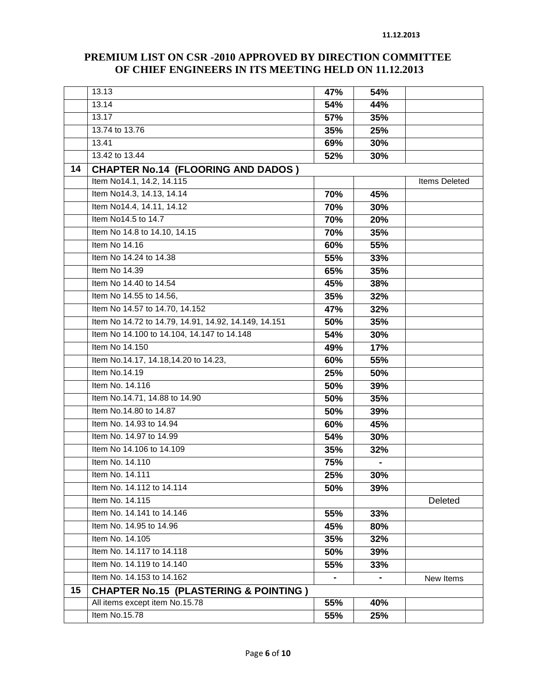|    | 13.13                                                | 47% | 54% |                      |
|----|------------------------------------------------------|-----|-----|----------------------|
|    | 13.14                                                | 54% | 44% |                      |
|    | 13.17                                                | 57% | 35% |                      |
|    | 13.74 to 13.76                                       | 35% | 25% |                      |
|    | 13.41                                                | 69% | 30% |                      |
|    | 13.42 to 13.44                                       | 52% | 30% |                      |
| 14 | <b>CHAPTER No.14 (FLOORING AND DADOS)</b>            |     |     |                      |
|    | Item No14.1, 14.2, 14.115                            |     |     | <b>Items Deleted</b> |
|    | Item No14.3, 14.13, 14.14                            | 70% | 45% |                      |
|    | Item No14.4, 14.11, 14.12                            | 70% | 30% |                      |
|    | Item No14.5 to 14.7                                  | 70% | 20% |                      |
|    | Item No 14.8 to 14.10, 14.15                         | 70% | 35% |                      |
|    | Item No 14.16                                        | 60% | 55% |                      |
|    | Item No 14.24 to 14.38                               | 55% | 33% |                      |
|    | Item No 14.39                                        | 65% | 35% |                      |
|    | Item No 14.40 to 14.54                               | 45% | 38% |                      |
|    | Item No 14.55 to 14.56,                              | 35% | 32% |                      |
|    | Item No 14.57 to 14.70, 14.152                       | 47% | 32% |                      |
|    | Item No 14.72 to 14.79, 14.91, 14.92, 14.149, 14.151 | 50% | 35% |                      |
|    | Item No 14.100 to 14.104, 14.147 to 14.148           | 54% | 30% |                      |
|    | Item No 14.150                                       | 49% | 17% |                      |
|    | Item No.14.17, 14.18,14.20 to 14.23,                 | 60% | 55% |                      |
|    | Item No.14.19                                        | 25% | 50% |                      |
|    | Item No. 14.116                                      | 50% | 39% |                      |
|    | Item No.14.71, 14.88 to 14.90                        | 50% | 35% |                      |
|    | Item No.14.80 to 14.87                               | 50% | 39% |                      |
|    | Item No. 14.93 to 14.94                              | 60% | 45% |                      |
|    | Item No. 14.97 to 14.99                              | 54% | 30% |                      |
|    | Item No 14.106 to 14.109                             | 35% | 32% |                      |
|    | Item No. 14.110                                      | 75% |     |                      |
|    | Item No. 14.111                                      | 25% | 30% |                      |
|    | Item No. 14.112 to 14.114                            | 50% | 39% |                      |
|    | Item No. 14.115                                      |     |     | Deleted              |
|    | Item No. 14.141 to 14.146                            | 55% | 33% |                      |
|    | Item No. 14.95 to 14.96                              | 45% | 80% |                      |
|    | Item No. 14.105                                      | 35% | 32% |                      |
|    | Item No. 14.117 to 14.118                            | 50% | 39% |                      |
|    | Item No. 14.119 to 14.140                            | 55% | 33% |                      |
|    | Item No. 14.153 to 14.162                            |     |     | New Items            |
| 15 | <b>CHAPTER No.15 (PLASTERING &amp; POINTING)</b>     |     |     |                      |
|    | All items except item No.15.78                       | 55% | 40% |                      |
|    | Item No.15.78                                        | 55% | 25% |                      |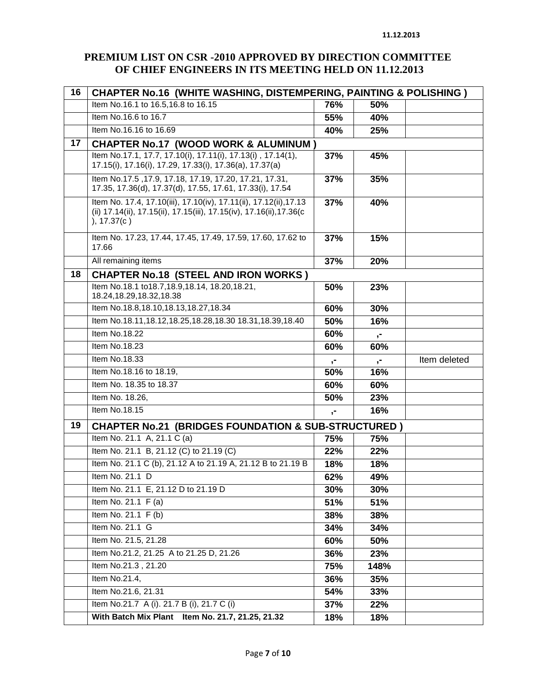| 16 | <b>CHAPTER No.16 (WHITE WASHING, DISTEMPERING, PAINTING &amp; POLISHING)</b>                                                                             |       |              |              |  |  |
|----|----------------------------------------------------------------------------------------------------------------------------------------------------------|-------|--------------|--------------|--|--|
|    | Item No.16.1 to 16.5,16.8 to 16.15                                                                                                                       | 76%   | 50%          |              |  |  |
|    | Item No.16.6 to 16.7                                                                                                                                     | 55%   | 40%          |              |  |  |
|    | Item No.16.16 to 16.69                                                                                                                                   | 40%   | 25%          |              |  |  |
| 17 | <b>CHAPTER No.17 (WOOD WORK &amp; ALUMINUM)</b>                                                                                                          |       |              |              |  |  |
|    | Item No.17.1, 17.7, 17.10(i), 17.11(i), 17.13(i), 17.14(1),<br>17.15(i), 17.16(i), 17.29, 17.33(i), 17.36(a), 17.37(a)                                   | 37%   | 45%          |              |  |  |
|    | Item No.17.5, 17.9, 17.18, 17.19, 17.20, 17.21, 17.31,<br>17.35, 17.36(d), 17.37(d), 17.55, 17.61, 17.33(i), 17.54                                       | 37%   | 35%          |              |  |  |
|    | Item No. 17.4, 17.10(iii), 17.10(iv), 17.11(ii), 17.12(ii), 17.13<br>(ii) 17.14(ii), 17.15(ii), 17.15(iii), 17.15(iv), 17.16(ii), 17.36(c<br>), 17.37(c) | 37%   | 40%          |              |  |  |
|    | Item No. 17.23, 17.44, 17.45, 17.49, 17.59, 17.60, 17.62 to<br>17.66                                                                                     | 37%   | 15%          |              |  |  |
|    | All remaining items                                                                                                                                      | 37%   | 20%          |              |  |  |
| 18 | <b>CHAPTER No.18 (STEEL AND IRON WORKS)</b>                                                                                                              |       |              |              |  |  |
|    | Item No.18.1 to18.7,18.9,18.14, 18.20,18.21,<br>18.24, 18.29, 18.32, 18.38                                                                               | 50%   | 23%          |              |  |  |
|    | Item No.18.8,18.10,18.13,18.27,18.34                                                                                                                     | 60%   | 30%          |              |  |  |
|    | Item No.18.11, 18.12, 18.25, 18.28, 18.30 18.31, 18.39, 18.40                                                                                            | 50%   | 16%          |              |  |  |
|    | <b>Item No.18.22</b>                                                                                                                                     | 60%   | $\mathbf{r}$ |              |  |  |
|    | Item No.18.23                                                                                                                                            | 60%   | 60%          |              |  |  |
|    | Item No.18.33                                                                                                                                            | $, -$ | $, -$        | Item deleted |  |  |
|    | Item No.18.16 to 18.19,                                                                                                                                  | 50%   | 16%          |              |  |  |
|    | Item No. 18.35 to 18.37                                                                                                                                  | 60%   | 60%          |              |  |  |
|    | Item No. 18.26,                                                                                                                                          | 50%   | 23%          |              |  |  |
|    | Item No.18.15                                                                                                                                            | ,-    | 16%          |              |  |  |
| 19 | <b>CHAPTER No.21 (BRIDGES FOUNDATION &amp; SUB-STRUCTURED)</b>                                                                                           |       |              |              |  |  |
|    | Item No. 21.1 A, 21.1 C (a)                                                                                                                              | 75%   | 75%          |              |  |  |
|    | Item No. 21.1 B, 21.12 (C) to 21.19 (C)                                                                                                                  | 22%   | 22%          |              |  |  |
|    | Item No. 21.1 C (b), 21.12 A to 21.19 A, 21.12 B to 21.19 B                                                                                              | 18%   | 18%          |              |  |  |
|    | Item No. 21.1 D                                                                                                                                          | 62%   | 49%          |              |  |  |
|    | Item No. 21.1 E, 21.12 D to 21.19 D                                                                                                                      | 30%   | <b>30%</b>   |              |  |  |
|    | Item No. 21.1 F (a)                                                                                                                                      | 51%   | 51%          |              |  |  |
|    | Item No. 21.1 F (b)                                                                                                                                      | 38%   | 38%          |              |  |  |
|    | Item No. 21.1 G                                                                                                                                          | 34%   | 34%          |              |  |  |
|    | Item No. 21.5, 21.28                                                                                                                                     | 60%   | 50%          |              |  |  |
|    | Item No.21.2, 21.25 A to 21.25 D, 21.26                                                                                                                  | 36%   | 23%          |              |  |  |
|    | Item No.21.3, 21.20                                                                                                                                      | 75%   | 148%         |              |  |  |
|    | Item No.21.4,                                                                                                                                            | 36%   | 35%          |              |  |  |
|    | Item No.21.6, 21.31                                                                                                                                      | 54%   | 33%          |              |  |  |
|    | Item No.21.7 A (i). 21.7 B (i), 21.7 C (i)                                                                                                               | 37%   | 22%          |              |  |  |
|    | With Batch Mix Plant Item No. 21.7, 21.25, 21.32                                                                                                         | 18%   | 18%          |              |  |  |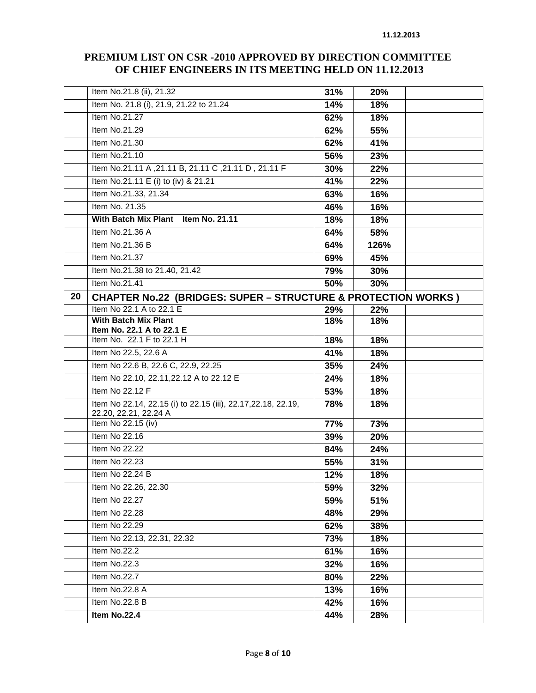|    | Item No.21.8 (ii), 21.32                                                 | 31% | 20%  |  |
|----|--------------------------------------------------------------------------|-----|------|--|
|    | Item No. 21.8 (i), 21.9, 21.22 to 21.24                                  | 14% | 18%  |  |
|    | Item No.21.27                                                            | 62% | 18%  |  |
|    | Item No.21.29                                                            | 62% | 55%  |  |
|    | Item No.21.30                                                            | 62% | 41%  |  |
|    | Item No.21.10                                                            | 56% | 23%  |  |
|    | ltem No.21.11 A ,21.11 B, 21.11 C ,21.11 D , 21.11 F                     | 30% | 22%  |  |
|    | Item No.21.11 E (i) to (iv) & 21.21                                      | 41% | 22%  |  |
|    | Item No.21.33, 21.34                                                     | 63% | 16%  |  |
|    | Item No. 21.35                                                           | 46% | 16%  |  |
|    | With Batch Mix Plant Item No. 21.11                                      | 18% | 18%  |  |
|    | Item No.21.36 A                                                          | 64% | 58%  |  |
|    | Item No.21.36 B                                                          | 64% | 126% |  |
|    | Item No.21.37                                                            | 69% | 45%  |  |
|    | Item No.21.38 to 21.40, 21.42                                            | 79% | 30%  |  |
|    | Item No.21.41                                                            | 50% | 30%  |  |
| 20 | <b>CHAPTER No.22 (BRIDGES: SUPER - STRUCTURE &amp; PROTECTION WORKS)</b> |     |      |  |
|    | Item No 22.1 A to 22.1 E                                                 | 29% | 22%  |  |
|    | <b>With Batch Mix Plant</b>                                              | 18% | 18%  |  |
|    | Item No. 22.1 A to 22.1 E<br>Item No. 22.1 F to 22.1 H                   | 18% | 18%  |  |
|    | Item No 22.5, 22.6 A                                                     | 41% | 18%  |  |
|    | Item No 22.6 B, 22.6 C, 22.9, 22.25                                      | 35% | 24%  |  |
|    | Item No 22.10, 22.11, 22.12 A to 22.12 E                                 | 24% | 18%  |  |
|    | Item No 22.12 F                                                          | 53% | 18%  |  |
|    | Item No 22.14, 22.15 (i) to 22.15 (iii), 22.17, 22.18, 22.19,            | 78% | 18%  |  |
|    | 22.20, 22.21, 22.24 A                                                    |     |      |  |
|    | Item No 22.15 (iv)                                                       | 77% | 73%  |  |
|    | Item No 22.16                                                            | 39% | 20%  |  |
|    | Item No 22.22                                                            | 84% | 24%  |  |
|    | Item No 22.23                                                            | 55% | 31%  |  |
|    | Item No 22.24 B                                                          | 12% | 18%  |  |
|    | Item No 22.26, 22.30                                                     | 59% | 32%  |  |
|    | Item No 22.27                                                            | 59% | 51%  |  |
|    | Item No 22.28                                                            | 48% | 29%  |  |
|    | Item No 22.29                                                            | 62% | 38%  |  |
|    | Item No 22.13, 22.31, 22.32                                              | 73% | 18%  |  |
|    | Item No.22.2                                                             | 61% | 16%  |  |
|    | Item No.22.3                                                             | 32% | 16%  |  |
|    | Item No.22.7                                                             | 80% | 22%  |  |
|    | Item No.22.8 A                                                           | 13% | 16%  |  |
|    | Item No.22.8 B                                                           | 42% | 16%  |  |
|    | Item No.22.4                                                             | 44% | 28%  |  |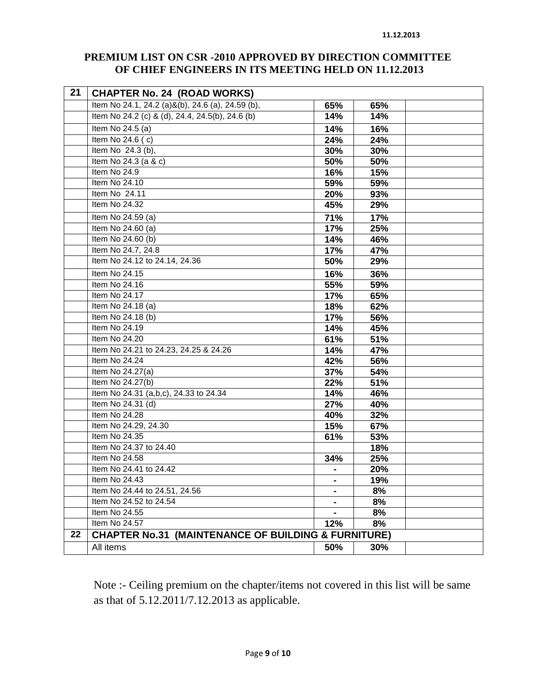| 21 | <b>CHAPTER No. 24 (ROAD WORKS)</b>                             |                |     |  |
|----|----------------------------------------------------------------|----------------|-----|--|
|    | Item No 24.1, 24.2 (a)&(b), 24.6 (a), 24.59 (b),               | 65%            | 65% |  |
|    | Item No 24.2 (c) & (d), 24.4, 24.5(b), 24.6 (b)                | 14%            | 14% |  |
|    | Item No 24.5 (a)                                               | 14%            | 16% |  |
|    | Item No $24.6$ (c)                                             | 24%            | 24% |  |
|    | Item No 24.3 (b),                                              | 30%            | 30% |  |
|    | Item No 24.3 (a & c)                                           | 50%            | 50% |  |
|    | Item No 24.9                                                   | 16%            | 15% |  |
|    | Item No 24.10                                                  | 59%            | 59% |  |
|    | Item No 24.11                                                  | 20%            | 93% |  |
|    | Item No 24.32                                                  | 45%            | 29% |  |
|    | Item No $24.59$ (a)                                            | 71%            | 17% |  |
|    | Item No 24.60 (a)                                              | 17%            | 25% |  |
|    | Item No 24.60 (b)                                              | 14%            | 46% |  |
|    | Item No 24.7, 24.8                                             | 17%            | 47% |  |
|    | Item No 24.12 to 24.14, 24.36                                  | 50%            | 29% |  |
|    | Item No 24.15                                                  | 16%            | 36% |  |
|    | Item No 24.16                                                  | 55%            | 59% |  |
|    | Item No 24.17                                                  | 17%            | 65% |  |
|    | Item No $24.18$ (a)                                            | 18%            | 62% |  |
|    | Item No 24.18 (b)                                              | 17%            | 56% |  |
|    | Item No 24.19                                                  | 14%            | 45% |  |
|    | Item No 24.20                                                  | 61%            | 51% |  |
|    | Item No 24.21 to 24.23, 24.25 & 24.26                          | 14%            | 47% |  |
|    | Item No 24.24                                                  | 42%            | 56% |  |
|    | Item No 24.27(a)                                               | 37%            | 54% |  |
|    | Item No 24.27(b)                                               | 22%            | 51% |  |
|    | Item No 24.31 (a,b,c), 24.33 to 24.34                          | 14%            | 46% |  |
|    | Item No 24.31 (d)                                              | 27%            | 40% |  |
|    | Item No $24.28$                                                | 40%            | 32% |  |
|    | Item No 24.29, 24.30                                           | 15%            | 67% |  |
|    | Item No 24.35                                                  | 61%            | 53% |  |
|    | Item No 24.37 to 24.40                                         |                | 18% |  |
|    | Item No 24.58                                                  | 34%            | 25% |  |
|    | Item No 24.41 to 24.42                                         | $\blacksquare$ | 20% |  |
|    | Item No 24.43                                                  | $\blacksquare$ | 19% |  |
|    | Item No 24.44 to 24.51, 24.56                                  |                | 8%  |  |
|    | Item No 24.52 to 24.54                                         |                | 8%  |  |
|    | Item No 24.55                                                  |                | 8%  |  |
|    | Item No 24.57                                                  | 12%            | 8%  |  |
| 22 | <b>CHAPTER No.31 (MAINTENANCE OF BUILDING &amp; FURNITURE)</b> |                |     |  |
|    | All items                                                      | 50%            | 30% |  |

Note :- Ceiling premium on the chapter/items not covered in this list will be same as that of 5.12.2011/7.12.2013 as applicable.